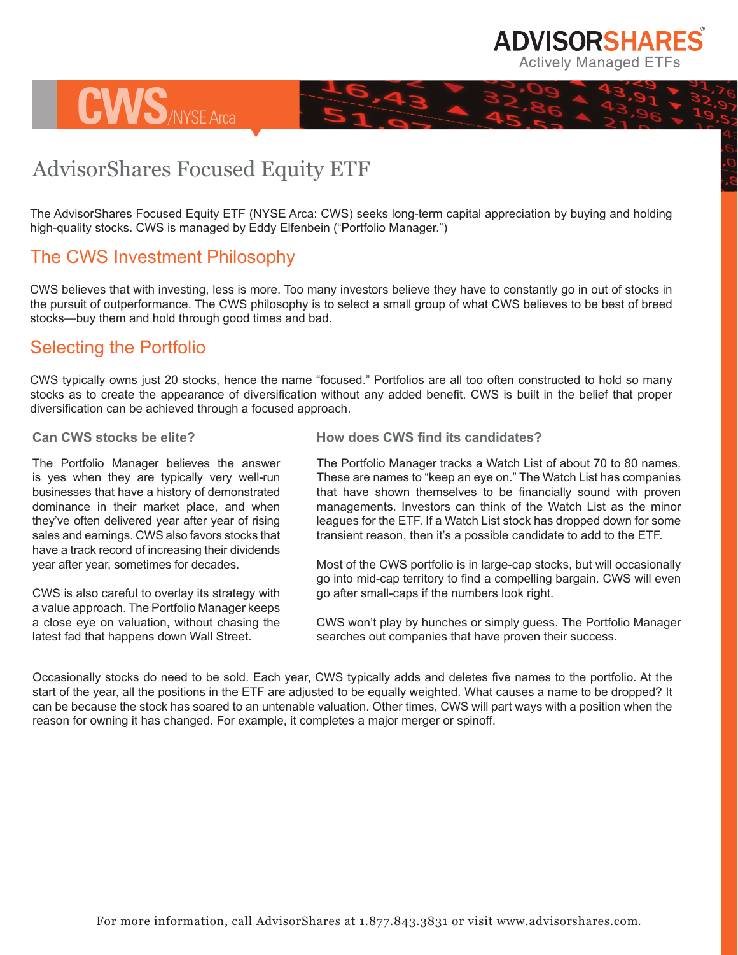

## AdvisorShares Focused Equity ETF

The AdvisorShares Focused Equity ETF (NYSE Arca: CWS) seeks long-term capital appreciation by buying and holding high-quality stocks. CWS is managed by Eddy Elfenbein ("Portfolio Manager.")

## The CWS Investment Philosophy

**CWS**/NYSE Arca

CWS believes that with investing, less is more. Too many investors believe they have to constantly go in out of stocks in the pursuit of outperformance. The CWS philosophy is to select a small group of what CWS believes to be best of breed stocks—buy them and hold through good times and bad.

## Selecting the Portfolio

CWS typically owns just 20 stocks, hence the name "focused." Portfolios are all too often constructed to hold so many stocks as to create the appearance of diversification without any added benefit. CWS is built in the belief that proper diversification can be achieved through a focused approach.

## **Can CWS stocks be elite?**

The Portfolio Manager believes the answer is yes when they are typically very well-run businesses that have a history of demonstrated dominance in their market place, and when they've often delivered year after year of rising sales and earnings. CWS also favors stocks that have a track record of increasing their dividends year after year, sometimes for decades.

CWS is also careful to overlay its strategy with a value approach. The Portfolio Manager keeps a close eye on valuation, without chasing the latest fad that happens down Wall Street.

**How does CWS find its candidates?** 

The Portfolio Manager tracks a Watch List of about 70 to 80 names. These are names to "keep an eye on." The Watch List has companies that have shown themselves to be financially sound with proven managements. Investors can think of the Watch List as the minor leagues for the ETF. If a Watch List stock has dropped down for some transient reason, then it's a possible candidate to add to the ETF.

Most of the CWS portfolio is in large-cap stocks, but will occasionally go into mid-cap territory to find a compelling bargain. CWS will even go after small-caps if the numbers look right.

CWS won't play by hunches or simply guess. The Portfolio Manager searches out companies that have proven their success.

Occasionally stocks do need to be sold. Each year, CWS typically adds and deletes five names to the portfolio. At the start of the year, all the positions in the ETF are adjusted to be equally weighted. What causes a name to be dropped? It can be because the stock has soared to an untenable valuation. Other times, CWS will part ways with a position when the reason for owning it has changed. For example, it completes a major merger or spinoff.